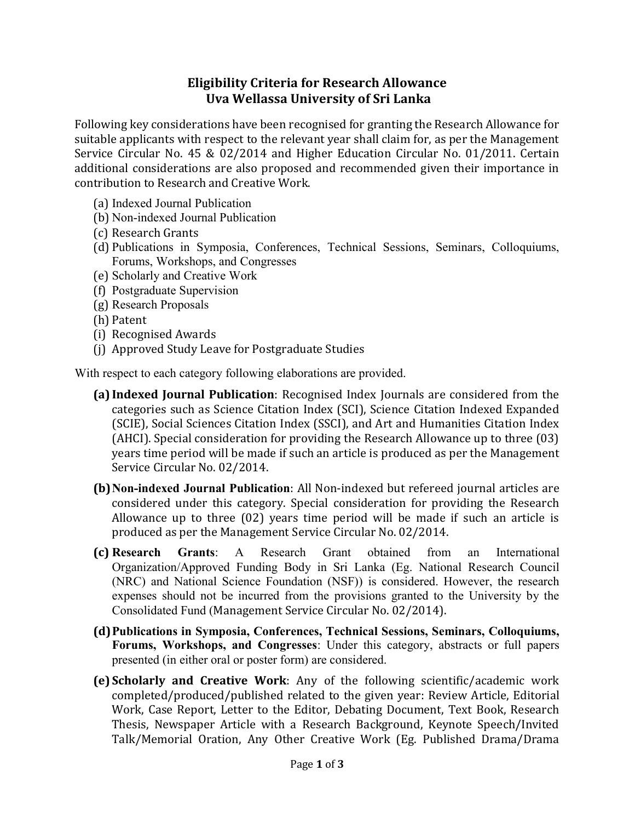## Eligibility Criteria for Research Allowance Uva Wellassa University of Sri Lanka

Following key considerations have been recognised for granting the Research Allowance for suitable applicants with respect to the relevant year shall claim for, as per the Management Service Circular No. 45 & 02/2014 and Higher Education Circular No. 01/2011. Certain additional considerations are also proposed and recommended given their importance in contribution to Research and Creative Work.

- (a) Indexed Journal Publication
- (b) Non-indexed Journal Publication
- (c) Research Grants
- (d) Publications in Symposia, Conferences, Technical Sessions, Seminars, Colloquiums, Forums, Workshops, and Congresses
- (e) Scholarly and Creative Work
- (f) Postgraduate Supervision
- (g) Research Proposals
- (h) Patent
- (i) Recognised Awards
- (j) Approved Study Leave for Postgraduate Studies

With respect to each category following elaborations are provided.

- (a) Indexed Journal Publication: Recognised Index Journals are considered from the categories such as Science Citation Index (SCI), Science Citation Indexed Expanded (SCIE), Social Sciences Citation Index (SSCI), and Art and Humanities Citation Index (AHCI). Special consideration for providing the Research Allowance up to three (03) years time period will be made if such an article is produced as per the Management Service Circular No. 02/2014.
- (b)Non-indexed Journal Publication: All Non-indexed but refereed journal articles are considered under this category. Special consideration for providing the Research Allowance up to three (02) years time period will be made if such an article is produced as per the Management Service Circular No. 02/2014.
- (c) Research Grants: A Research Grant obtained from an International Organization/Approved Funding Body in Sri Lanka (Eg. National Research Council (NRC) and National Science Foundation (NSF)) is considered. However, the research expenses should not be incurred from the provisions granted to the University by the Consolidated Fund (Management Service Circular No. 02/2014).
- (d)Publications in Symposia, Conferences, Technical Sessions, Seminars, Colloquiums, Forums, Workshops, and Congresses: Under this category, abstracts or full papers presented (in either oral or poster form) are considered.
- (e) Scholarly and Creative Work: Any of the following scientific/academic work completed/produced/published related to the given year: Review Article, Editorial Work, Case Report, Letter to the Editor, Debating Document, Text Book, Research Thesis, Newspaper Article with a Research Background, Keynote Speech/Invited Talk/Memorial Oration, Any Other Creative Work (Eg. Published Drama/Drama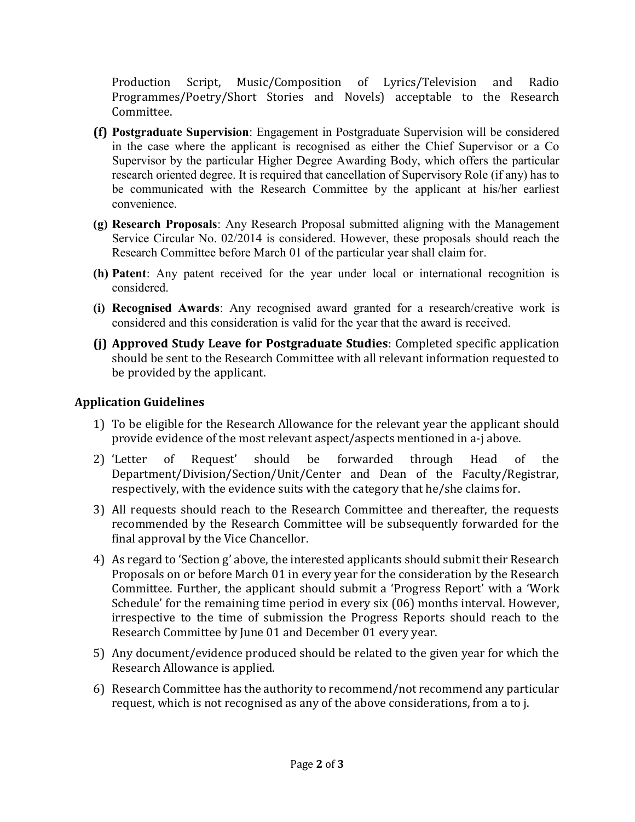Production Script, Music/Composition of Lyrics/Television and Radio Programmes/Poetry/Short Stories and Novels) acceptable to the Research Committee.

- (f) Postgraduate Supervision: Engagement in Postgraduate Supervision will be considered in the case where the applicant is recognised as either the Chief Supervisor or a Co Supervisor by the particular Higher Degree Awarding Body, which offers the particular research oriented degree. It is required that cancellation of Supervisory Role (if any) has to be communicated with the Research Committee by the applicant at his/her earliest convenience.
- (g) Research Proposals: Any Research Proposal submitted aligning with the Management Service Circular No. 02/2014 is considered. However, these proposals should reach the Research Committee before March 01 of the particular year shall claim for.
- (h) Patent: Any patent received for the year under local or international recognition is considered.
- (i) Recognised Awards: Any recognised award granted for a research/creative work is considered and this consideration is valid for the year that the award is received.
- (j) Approved Study Leave for Postgraduate Studies: Completed specific application should be sent to the Research Committee with all relevant information requested to be provided by the applicant.

## Application Guidelines

- 1) To be eligible for the Research Allowance for the relevant year the applicant should provide evidence of the most relevant aspect/aspects mentioned in a-j above.
- 2) 'Letter of Request' should be forwarded through Head of the Department/Division/Section/Unit/Center and Dean of the Faculty/Registrar, respectively, with the evidence suits with the category that he/she claims for.
- 3) All requests should reach to the Research Committee and thereafter, the requests recommended by the Research Committee will be subsequently forwarded for the final approval by the Vice Chancellor.
- 4) As regard to 'Section g' above, the interested applicants should submit their Research Proposals on or before March 01 in every year for the consideration by the Research Committee. Further, the applicant should submit a 'Progress Report' with a 'Work Schedule' for the remaining time period in every six (06) months interval. However, irrespective to the time of submission the Progress Reports should reach to the Research Committee by June 01 and December 01 every year.
- 5) Any document/evidence produced should be related to the given year for which the Research Allowance is applied.
- 6) Research Committee has the authority to recommend/not recommend any particular request, which is not recognised as any of the above considerations, from a to j.